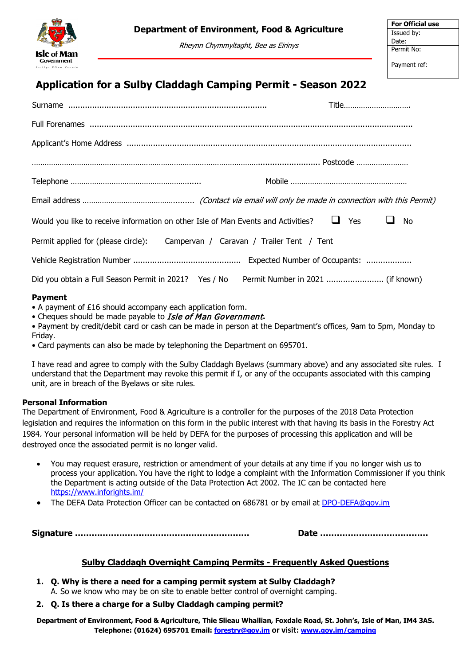

# **Department of Environment, Food & Agriculture**

Rheynn Chymmyltaght, Bee as Eirinys

# **Application for a Sulby Claddagh Camping Permit - Season 2022**

|                                                                                   | Title             |  |
|-----------------------------------------------------------------------------------|-------------------|--|
|                                                                                   |                   |  |
|                                                                                   |                   |  |
|                                                                                   |                   |  |
|                                                                                   |                   |  |
|                                                                                   |                   |  |
| Would you like to receive information on other Isle of Man Events and Activities? | <b>Yes</b><br>No. |  |
| Permit applied for (please circle):<br>Campervan / Caravan / Trailer Tent / Tent  |                   |  |
|                                                                                   |                   |  |
| Did you obtain a Full Season Permit in 2021? Yes / No                             |                   |  |
|                                                                                   |                   |  |

### **Payment**

- A payment of £16 should accompany each application form.
- Cheques should be made payable to Isle of Man Government**.**
- Payment by credit/debit card or cash can be made in person at the Department's offices, 9am to 5pm, Monday to Friday.
- Card payments can also be made by telephoning the Department on 695701.

I have read and agree to comply with the Sulby Claddagh Byelaws (summary above) and any associated site rules. I understand that the Department may revoke this permit if I, or any of the occupants associated with this camping unit, are in breach of the Byelaws or site rules.

# **Personal Information**

The Department of Environment, Food & Agriculture is a controller for the purposes of the 2018 Data Protection legislation and requires the information on this form in the public interest with that having its basis in the Forestry Act 1984. Your personal information will be held by DEFA for the purposes of processing this application and will be destroyed once the associated permit is no longer valid.

- You may request erasure, restriction or amendment of your details at any time if you no longer wish us to process your application. You have the right to lodge a complaint with the Information Commissioner if you think the Department is acting outside of the Data Protection Act 2002. The IC can be contacted here <https://www.inforights.im/>
- The DEFA Data Protection Officer can be contacted on 686781 or by email at [DPO-DEFA@gov.im](mailto:DPO-DEFA@gov.im)

**Signature ……………………………………………………… Date …………………………………**

# **Sulby Claddagh Overnight Camping Permits - Frequently Asked Questions**

**1. Q. Why is there a need for a camping permit system at Sulby Claddagh?** A. So we know who may be on site to enable better control of overnight camping.

# **2. Q. Is there a charge for a Sulby Claddagh camping permit?**

**Department of Environment, Food & Agriculture, Thie Slieau Whallian, Foxdale Road, St. John's, Isle of Man, IM4 3AS. Telephone: (01624) 695701 Email: [forestry@gov.im](mailto:charlotte.coole@gov.im) or visit: [www.gov.im/camping](http://www.gov.im/camping)**